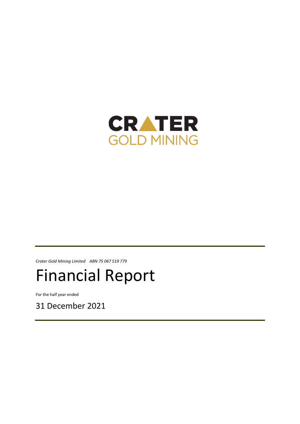

*Crater Gold Mining Limited ABN 75 067 519 779*

# Financial Report

For the half year ended

31 December 2021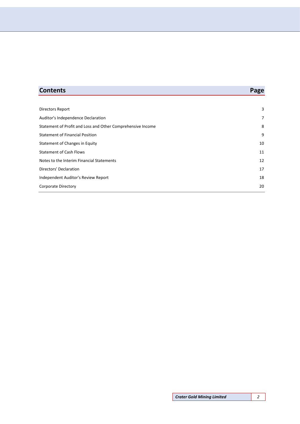| <b>Contents</b>                                             | Page |
|-------------------------------------------------------------|------|
|                                                             |      |
| Directors Report                                            | 3    |
| Auditor's Independence Declaration                          | 7    |
| Statement of Profit and Loss and Other Comprehensive Income | 8    |
| <b>Statement of Financial Position</b>                      | 9    |
| Statement of Changes in Equity                              | 10   |
| <b>Statement of Cash Flows</b>                              | 11   |
| Notes to the Interim Financial Statements                   | 12   |
| Directors' Declaration                                      | 17   |
| Independent Auditor's Review Report                         | 18   |

[Corporate Directory](#page-19-0) 20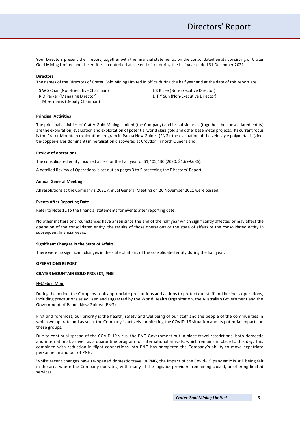Your Directors present their report, together with the financial statements, on the consolidated entity consisting of Crater Gold Mining Limited and the entities it controlled at the end of, or during the half year ended 31 December 2021.

#### **Directors**

The names of the Directors of Crater Gold Mining Limited in office during the half year and at the date of this report are:

S W S Chan (Non-Executive Chairman) R D Parker (Managing Director) T M Fermanis (Deputy Chairman)

L K K Lee (Non-Executive Director) D T Y Sun (Non-Executive Director)

#### **Principal Activities**

The principal activities of Crater Gold Mining Limited (the Company) and its subsidiaries (together the consolidated entity) are the exploration, evaluation and exploitation of potential world class gold and other base metal projects. Its current focus is the Crater Mountain exploration program in Papua New Guinea (PNG), the evaluation of the vein style polymetallic (zinctin-copper-silver dominant) mineralisation discovered at Croydon in north Queensland.

#### **Review of operations**

The consolidated entity incurred a loss for the half year of \$1,405,130 (2020: \$1,699,686).

A detailed Review of Operations is set out on pages 3 to 5 preceding the Directors' Report.

#### **Annual General Meeting**

All resolutions at the Company's 2021 Annual General Meeting on 26 November 2021 were passed.

#### **Events After Reporting Date**

Refer to Note 12 to the financial statements for events after reporting date.

No other matters or circumstances have arisen since the end of the half year which significantly affected or may affect the operation of the consolidated entity, the results of those operations or the state of affairs of the consolidated entity in subsequent financial years.

#### **Significant Changes in the State of Affairs**

There were no significant changes in the state of affairs of the consolidated entity during the half year.

#### **OPERATIONS REPORT**

#### **CRATER MOUNTAIN GOLD PROJECT, PNG**

#### HGZ Gold Mine

During the period, the Company took appropriate precautions and actions to protect our staff and business operations, including precautions as advised and suggested by the World Health Organization, the Australian Government and the Government of Papua New Guinea (PNG).

First and foremost, our priority is the health, safety and wellbeing of our staff and the people of the communities in which we operate and as such, the Company is actively monitoring the COVID-19 situation and its potential impacts on these groups.

Due to continual spread of the COVID-19 virus, the PNG Government put in place travel restrictions, both domestic and international, as well as a quarantine program for international arrivals, which remains in place to this day. This combined with reduction in flight connections into PNG has hampered the Company's ability to move expatriate personnel in and out of PNG.

Whilst recent changes have re-opened domestic travel in PNG, the impact of the Covid-19 pandemic is still being felt in the area where the Company operates, with many of the logistics providers remaining closed, or offering limited services.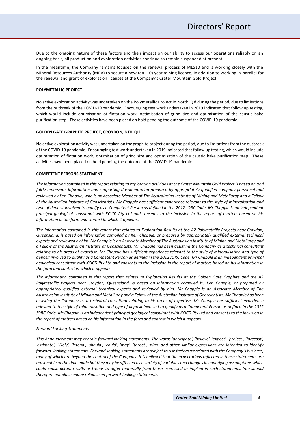Due to the ongoing nature of these factors and their impact on our ability to access our operations reliably on an ongoing basis, all production and exploration activities continue to remain suspended at present.

In the meantime, the Company remains focused on the renewal process of ML510 and is working closely with the Mineral Resources Authority (MRA) to secure a new ten (10) year mining licence, in addition to working in parallel for the renewal and grant of exploration licenses at the Company's Crater Mountain Gold Project.

#### **POLYMETALLIC PROJECT**

No active exploration activity was undertaken on the Polymetallic Project in North Qld during the period, due to limitations from the outbreak of the COVID-19 pandemic. Encouraging test work undertaken in 2019 indicated that follow up testing, which would include optimisation of flotation work, optimisation of grind size and optimisation of the caustic bake purification step. These activities have been placed on hold pending the outcome of the COVID-19 pandemic.

#### **GOLDEN GATE GRAPHITE PROJECT, CROYDON, NTH QLD**

No active exploration activity was undertaken on the graphite project during the period, due to limitations from the outbreak of the COVID-19 pandemic. Encouraging test work undertaken in 2019 indicated that follow up testing, which would include optimisation of flotation work, optimisation of grind size and optimisation of the caustic bake purification step. These activities have been placed on hold pending the outcome of the COVID-19 pandemic.

#### **COMPETENT PERSONS STATEMENT**

*The information contained in this report relating to exploration activities at the Crater Mountain Gold Project is based on and*  fairly represents information and supporting documentation prepared by appropriately qualified company personnel and *reviewed by Ken Chapple, who is an Associate Member of The Australasian Institute of Mining and Metallurgy and a Fellow of the Australian Institute of Geoscientists. Mr Chapple has sufficient experience relevant to the style of mineralisation and type of deposit involved to qualify as a Competent Person as defined in the 2012 JORC Code. Mr Chapple is an independent principal geological consultant with KCICD Pty Ltd and consents to the inclusion in the report of matters based on his information in the form and context in which it appears.* 

*The information contained in this report that relates to Exploration Results at the A2 Polymetallic Projects near Croydon, Queensland, is based on information compiled by Ken Chapple, or prepared by appropriately qualified external technical experts and reviewed by him. Mr Chapple is an Associate Member of The Australasian Institute of Mining and Metallurgy and a Fellow of the Australian Institute of Geoscientists. Mr Chapple has been assisting the Company as a technical consultant relating to his areas of expertise. Mr Chapple has sufficient experience relevant to the style of mineralisation and type of deposit involved to qualify as a Competent Person as defined in the 2012 JORC Code. Mr Chapple is an independent principal geological consultant with KCICD Pty Ltd and consents to the inclusion in the report of matters based on his information in the form and context in which it appears.* 

*The information contained in this report that relates to Exploration Results at the Golden Gate Graphite and the A2 Polymetallic Projects near Croydon, Queensland, is based on information compiled by Ken Chapple, or prepared by appropriately qualified external technical experts and reviewed by him. Mr Chapple is an Associate Member of The Australasian Institute of Mining and Metallurgy and a Fellow of the Australian Institute of Geoscientists. Mr Chapple has been assisting the Company as a technical consultant relating to his areas of expertise. Mr Chapple has sufficient experience relevant to the style of mineralisation and type of deposit involved to qualify as a Competent Person as defined in the 2012*  JORC Code. Mr Chapple is an independent principal geological consultant with KCICD Pty Ltd and consents to the inclusion in *the report of matters based on his information in the form and context in which it appears.* 

#### *Forward Looking Statements*

*This Announcement may contain forward looking statements. The words 'anticipate', 'believe', 'expect', 'project', 'forecast', 'estimate', 'likely', 'intend', 'should', 'could', 'may', 'target', 'plan' and other similar expressions are intended to identify forward- looking statements. Forward-looking statements are subject to risk factors associated with the Company's business, many of which are beyond the control of the Company. It is believed that the expectations reflected in these statements are reasonable at the time made but they may be affected by a variety of variables and changes in underlying assumptions which could cause actual results or trends to differ materially from those expressed or implied in such statements. You should therefore not place undue reliance on forward-looking statements.*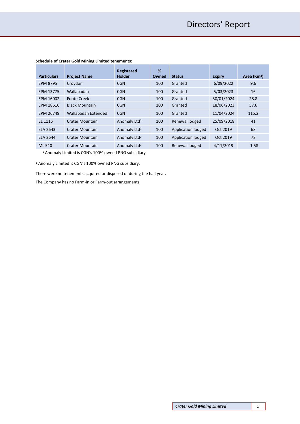|                    |                        | Registered               | %     |                    |               |                         |
|--------------------|------------------------|--------------------------|-------|--------------------|---------------|-------------------------|
| <b>Particulars</b> | <b>Project Name</b>    | <b>Holder</b>            | Owned | <b>Status</b>      | <b>Expiry</b> | Area (Km <sup>2</sup> ) |
| <b>EPM 8795</b>    | Croydon                | <b>CGN</b>               | 100   | Granted            | 6/09/2022     | 9.6                     |
| EPM 13775          | Wallabadah             | <b>CGN</b>               | 100   | Granted            | 5/03/2023     | 16                      |
| EPM 16002          | <b>Foote Creek</b>     | <b>CGN</b>               | 100   | Granted            | 30/01/2024    | 28.8                    |
| EPM 18616          | <b>Black Mountain</b>  | <b>CGN</b>               | 100   | Granted            | 18/06/2023    | 57.6                    |
| EPM 26749          | Wallabadah Extended    | <b>CGN</b>               | 100   | Granted            | 11/04/2024    | 115.2                   |
| EL 1115            | <b>Crater Mountain</b> | Anomaly Ltd <sup>1</sup> | 100   | Renewal lodged     | 25/09/2018    | 41                      |
| ELA 2643           | Crater Mountain        | Anomaly Ltd <sup>1</sup> | 100   | Application lodged | Oct 2019      | 68                      |
| <b>ELA 2644</b>    | Crater Mountain        | Anomaly Ltd <sup>1</sup> | 100   | Application lodged | Oct 2019      | 78                      |
| ML 510             | Crater Mountain        | Anomaly Ltd <sup>1</sup> | 100   | Renewal lodged     | 4/11/2019     | 1.58                    |

# **Schedule of Crater Gold Mining Limited tenements:**

<sup>1</sup>Anomaly Limited is CGN's 100% owned PNG subsidiary

<sup>1</sup> Anomaly Limited is CGN's 100% owned PNG subsidiary.

There were no tenements acquired or disposed of during the half year.

The Company has no Farm-in or Farm-out arrangements.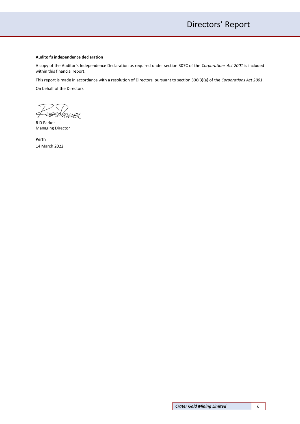#### **Auditor's independence declaration**

A copy of the Auditor's Independence Declaration as required under section 307C of the *Corporations Act 2001* is included within this financial report.

This report is made in accordance with a resolution of Directors, pursuant to section 306(3)(a) of the *Corporations Act 2001*.

On behalf of the Directors

S ANNER

R D Parker Managing Director

Perth 14 March 2022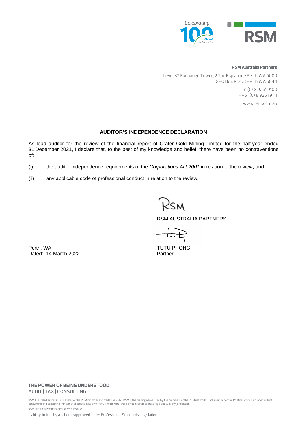

#### **RSM Australia Partners**

Level 32 Exchange Tower, 2 The Esplanade Perth WA 6000 GPO Box R1253 Perth WA 6844

> T +61 (0) 8 9261 9100 F +61 (0) 8 9261 9111

> > www.rsm.com.au

# **AUDITOR'S INDEPENDENCE DECLARATION**

As lead auditor for the review of the financial report of Crater Gold Mining Limited for the half-year ended 31 December 2021, I declare that, to the best of my knowledge and belief, there have been no contraventions of:

- (i) the auditor independence requirements of the *Corporations Act 2001* in relation to the review; and
- (ii) any applicable code of professional conduct in relation to the review.

?sm

RSM AUSTRALIA PARTNERS

᠇ᢛ᠌᠊ᡶ

Perth, WA TUTU PHONG Dated: 14 March 2022 Partner

# **THE POWER OF BEING UNDERSTOOD** AUDIT | TAX | CONSULTING

RSM Australia Partners is a member of the RSM network and trades as RSM. RSM is the trading name used by the members of the RSM network. Each member of the RSM network is an independent accounting and consulting firm which practices in its own right. The RSM network is not itself a separate legal entity in any jurisdiction. RSM Australia Partners ABN 36 965 185 036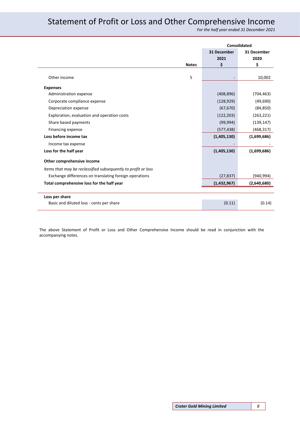# <span id="page-7-0"></span>Statement of Profit or Loss and Other Comprehensive Income

*For the half year ended 31 December 2021*

|                                                               |              |             | <b>Consolidated</b> |
|---------------------------------------------------------------|--------------|-------------|---------------------|
|                                                               |              | 31 December | 31 December         |
|                                                               |              | 2021        | 2020                |
|                                                               | <b>Notes</b> | \$          | \$                  |
| Other income                                                  | 5            |             | 10,002              |
| <b>Expenses</b>                                               |              |             |                     |
| Administration expense                                        |              | (408, 896)  | (704, 463)          |
| Corporate compliance expense                                  |              | (128, 929)  | (49,690)            |
| Depreciation expense                                          |              | (67, 670)   | (84, 850)           |
| Exploration, evaluation and operation costs                   |              | (122, 203)  | (263, 221)          |
| Share based payments                                          |              | (99, 994)   | (139, 147)          |
| Financing expense                                             |              | (577, 438)  | (468, 317)          |
| Loss before income tax                                        |              | (1,405,130) | (1,699,686)         |
| Income tax expense                                            |              |             |                     |
| Loss for the half year                                        |              | (1,405,130) | (1,699,686)         |
| Other comprehensive income                                    |              |             |                     |
| Items that may be reclassified subsequently to profit or loss |              |             |                     |
| Exchange differences on translating foreign operations        |              | (27, 837)   | (940, 994)          |
| Total comprehensive loss for the half year                    |              | (1,432,967) | (2,640,680)         |
|                                                               |              |             |                     |
| Loss per share<br>Basic and diluted loss - cents per share    |              | (0.11)      | (0.14)              |
|                                                               |              |             |                     |

The above Statement of Profit or Loss and Other Comprehensive Income should be read in conjunction with the accompanying notes.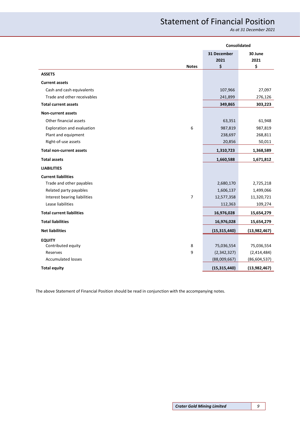# Statement of Financial Position

*As at 31 December 2021*

<span id="page-8-0"></span>

|                                   | Consolidated   |                |
|-----------------------------------|----------------|----------------|
|                                   | 31 December    | 30 June        |
|                                   | 2021           | 2021           |
| <b>Notes</b>                      | \$             | \$             |
| <b>ASSETS</b>                     |                |                |
| <b>Current assets</b>             |                |                |
| Cash and cash equivalents         | 107,966        | 27,097         |
| Trade and other receivables       | 241,899        | 276,126        |
| <b>Total current assets</b>       | 349,865        | 303,223        |
| <b>Non-current assets</b>         |                |                |
| Other financial assets            | 63,351         | 61,948         |
| 6<br>Exploration and evaluation   | 987,819        | 987,819        |
| Plant and equipment               | 238,697        | 268,811        |
| Right-of-use assets               | 20,856         | 50,011         |
| <b>Total non-current assets</b>   | 1,310,723      | 1,368,589      |
| <b>Total assets</b>               | 1,660,588      | 1,671,812      |
| <b>LIABILITIES</b>                |                |                |
| <b>Current liabilities</b>        |                |                |
| Trade and other payables          | 2,680,170      | 2,725,218      |
| Related party payables            | 1,606,137      | 1,499,066      |
| Interest bearing liabilities<br>7 | 12,577,358     | 11,320,721     |
| Lease liabilities                 | 112,363        | 109,274        |
| <b>Total current liabilities</b>  | 16,976,028     | 15,654,279     |
| <b>Total liabilities</b>          | 16,976,028     | 15,654,279     |
| <b>Net liabilities</b>            | (15, 315, 440) | (13, 982, 467) |
| <b>EQUITY</b>                     |                |                |
| Contributed equity<br>8           | 75,036,554     | 75,036,554     |
| Reserves<br>9                     | (2,342,327)    | (2,414,484)    |
| <b>Accumulated losses</b>         | (88,009,667)   | (86, 604, 537) |
| <b>Total equity</b>               | (15, 315, 440) | (13,982,467)   |

The above Statement of Financial Position should be read in conjunction with the accompanying notes.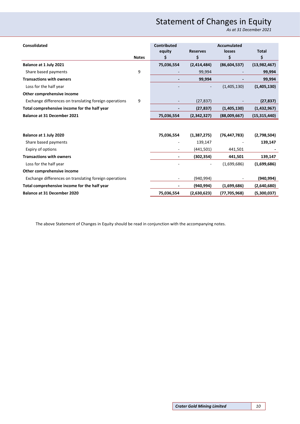# Statement of Changes in Equity

*As at 31 December 2021*

<span id="page-9-0"></span>

| <b>Consolidated</b>                                    |              | Contributed |                 | <b>Accumulated</b> |                |
|--------------------------------------------------------|--------------|-------------|-----------------|--------------------|----------------|
|                                                        |              | equity      | <b>Reserves</b> | losses             | <b>Total</b>   |
|                                                        | <b>Notes</b> | Ś           | \$              | \$                 | \$             |
| Balance at 1 July 2021                                 |              | 75,036,554  | (2,414,484)     | (86, 604, 537)     | (13,982,467)   |
| Share based payments                                   | 9            |             | 99,994          |                    | 99,994         |
| <b>Transactions with owners</b>                        |              |             | 99,994          |                    | 99,994         |
| Loss for the half year                                 |              |             |                 | (1,405,130)        | (1,405,130)    |
| Other comprehensive income                             |              |             |                 |                    |                |
| Exchange differences on translating foreign operations | 9            |             | (27, 837)       |                    | (27, 837)      |
| Total comprehensive income for the half year           |              |             | (27, 837)       | (1,405,130)        | (1,432,967)    |
| <b>Balance at 31 December 2021</b>                     |              | 75,036,554  | (2,342,327)     | (88,009,667)       | (15, 315, 440) |
|                                                        |              |             |                 |                    |                |
| Balance at 1 July 2020                                 |              | 75,036,554  | (1,387,275)     | (76, 447, 783)     | (2,798,504)    |
| Share based payments                                   |              |             | 139,147         |                    | 139,147        |
| Expiry of options                                      |              |             | (441,501)       | 441,501            |                |
| <b>Transactions with owners</b>                        |              |             | (302, 354)      | 441,501            | 139,147        |
| Loss for the half year                                 |              |             |                 | (1,699,686)        | (1,699,686)    |
| Other comprehensive income                             |              |             |                 |                    |                |
| Exchange differences on translating foreign operations |              |             | (940, 994)      |                    | (940, 994)     |
| Total comprehensive income for the half year           |              |             | (940, 994)      | (1,699,686)        | (2,640,680)    |
| <b>Balance at 31 December 2020</b>                     |              | 75,036,554  | (2,630,623)     | (77, 705, 968)     | (5,300,037)    |

The above Statement of Changes in Equity should be read in conjunction with the accompanying notes.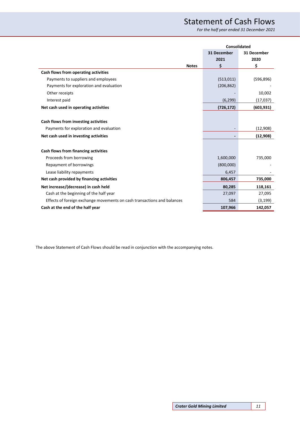# Statement of Cash Flows

*For the half year ended 31 December 2021*

<span id="page-10-0"></span>

|                                                                         | <b>Consolidated</b> |             |
|-------------------------------------------------------------------------|---------------------|-------------|
|                                                                         | 31 December         | 31 December |
|                                                                         | 2021                | 2020        |
| <b>Notes</b>                                                            | \$                  | \$          |
| Cash flows from operating activities                                    |                     |             |
| Payments to suppliers and employees                                     | (513, 011)          | (596, 896)  |
| Payments for exploration and evaluation                                 | (206, 862)          |             |
| Other receipts                                                          |                     | 10,002      |
| Interest paid                                                           | (6, 299)            | (17, 037)   |
| Net cash used in operating activities                                   | (726, 172)          | (603, 931)  |
|                                                                         |                     |             |
| Cash flows from investing activities                                    |                     |             |
| Payments for exploration and evaluation                                 |                     | (12,908)    |
| Net cash used in investing activities                                   |                     | (12, 908)   |
|                                                                         |                     |             |
| Cash flows from financing activities                                    |                     |             |
| Proceeds from borrowing                                                 | 1,600,000           | 735,000     |
| Repayment of borrowings                                                 | (800,000)           |             |
| Lease liability repayments                                              | 6,457               |             |
| Net cash provided by financing activities                               | 806,457             | 735,000     |
| Net increase/(decrease) in cash held                                    | 80,285              | 118,161     |
| Cash at the beginning of the half year                                  | 27,097              | 27,095      |
| Effects of foreign exchange movements on cash transactions and balances | 584                 | (3, 199)    |
| Cash at the end of the half year                                        | 107,966             | 142,057     |

The above Statement of Cash Flows should be read in conjunction with the accompanying notes.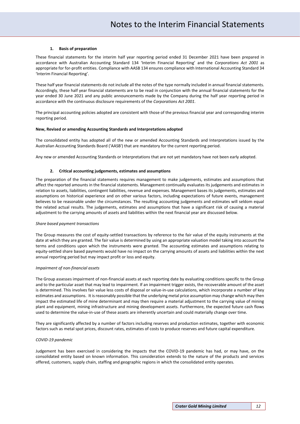#### **1. Basis of preparation**

<span id="page-11-0"></span>These financial statements for the interim half year reporting period ended 31 December 2021 have been prepared in accordance with Australian Accounting Standard 134 'Interim Financial Reporting' and the *Corporations Act 2001* as appropriate for for-profit entities. Compliance with AASB 134 ensures compliance with International Accounting Standard 34 'Interim Financial Reporting'.

These half year financial statements do not include all the notes of the type normally included in annual financial statements. Accordingly, these half year financial statements are to be read in conjunction with the annual financial statements for the year ended 30 June 2021 and any public announcements made by the Company during the half year reporting period in accordance with the continuous disclosure requirements of the *Corporations Act 2001*.

The principal accounting policies adopted are consistent with those of the previous financial year and corresponding interim reporting period.

#### **New, Revised or amending Accounting Standards and Interpretations adopted**

The consolidated entity has adopted all of the new or amended Accounting Standards and Interpretations issued by the Australian Accounting Standards Board ('AASB') that are mandatory for the current reporting period.

Any new or amended Accounting Standards or Interpretations that are not yet mandatory have not been early adopted.

#### **2. Critical accounting judgements, estimates and assumptions**

The preparation of the financial statements requires management to make judgements, estimates and assumptions that affect the reported amounts in the financial statements. Management continually evaluates its judgements and estimates in relation to assets, liabilities, contingent liabilities, revenue and expenses. Management bases its judgements, estimates and assumptions on historical experience and on other various factors, including expectations of future events, management believes to be reasonable under the circumstances. The resulting accounting judgements and estimates will seldom equal the related actual results. The judgements, estimates and assumptions that have a significant risk of causing a material adjustment to the carrying amounts of assets and liabilities within the next financial year are discussed below.

#### *Share based payment transactions*

The Group measures the cost of equity-settled transactions by reference to the fair value of the equity instruments at the date at which they are granted. The fair value is determined by using an appropriate valuation model taking into account the terms and conditions upon which the instruments were granted. The accounting estimates and assumptions relating to equity-settled share based payments would have no impact on the carrying amounts of assets and liabilities within the next annual reporting period but may impact profit or loss and equity.

#### *Impairment of non-financial assets*

The Group assesses impairment of non-financial assets at each reporting date by evaluating conditions specific to the Group and to the particular asset that may lead to impairment. If an impairment trigger exists, the recoverable amount of the asset is determined. This involves fair value less costs of disposal or value-in-use calculations, which incorporate a number of key estimates and assumptions. It is reasonably possible that the underlying metal price assumption may change which may then impact the estimated life of mine determinant and may then require a material adjustment to the carrying value of mining plant and equipment, mining infrastructure and mining development assets. Furthermore, the expected future cash flows used to determine the value-in-use of these assets are inherently uncertain and could materially change over time.

They are significantly affected by a number of factors including reserves and production estimates, together with economic factors such as metal spot prices, discount rates, estimates of costs to produce reserves and future capital expenditure.

#### *COVID-19 pandemic*

Judgement has been exercised in considering the impacts that the COVID-19 pandemic has had, or may have, on the consolidated entity based on known information. This consideration extends to the nature of the products and services offered, customers, supply chain, staffing and geographic regions in which the consolidated entity operates.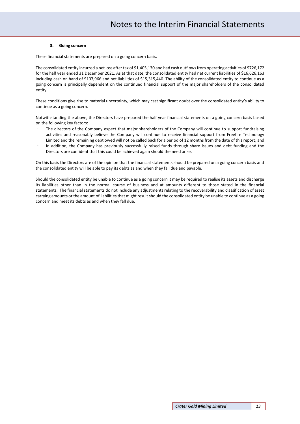#### **3. Going concern**

These financial statements are prepared on a going concern basis.

The consolidated entity incurred a net loss after tax of \$1,405,130 and had cash outflows from operating activities of \$726,172 for the half year ended 31 December 2021. As at that date, the consolidated entity had net current liabilities of \$16,626,163 including cash on hand of \$107,966 and net liabilities of \$15,315,440. The ability of the consolidated entity to continue as a going concern is principally dependent on the continued financial support of the major shareholders of the consolidated entity.

These conditions give rise to material uncertainty, which may cast significant doubt over the consolidated entity's ability to continue as a going concern.

Notwithstanding the above, the Directors have prepared the half year financial statements on a going concern basis based on the following key factors:

- The directors of the Company expect that major shareholders of the Company will continue to support fundraising activities and reasonably believe the Company will continue to receive financial support from Freefire Technology Limited and the remaining debt owed will not be called back for a period of 12 months from the date of this report; and
- In addition, the Company has previously successfully raised funds through share issues and debt funding and the Directors are confident that this could be achieved again should the need arise.

On this basis the Directors are of the opinion that the financial statements should be prepared on a going concern basis and the consolidated entity will be able to pay its debts as and when they fall due and payable.

Should the consolidated entity be unable to continue as a going concern it may be required to realise its assets and discharge its liabilities other than in the normal course of business and at amounts different to those stated in the financial statements. The financial statements do not include any adjustments relating to the recoverability and classification of asset carrying amounts or the amount of liabilities that might result should the consolidated entity be unable to continue as a going concern and meet its debts as and when they fall due.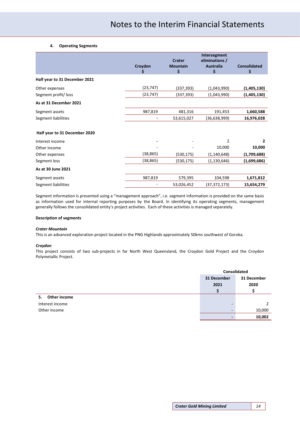#### **4. Operating Segments**

|                               | Croydon<br>Ş | <b>Crater</b><br><b>Mountain</b><br>\$ | Intersegment<br>eliminations /<br><b>Australia</b><br>\$ | <b>Consolidated</b><br>\$ |
|-------------------------------|--------------|----------------------------------------|----------------------------------------------------------|---------------------------|
| Half year to 31 December 2021 |              |                                        |                                                          |                           |
| Other expenses                | (23, 747)    | (337, 393)                             | (1,043,990)                                              | (1,405,130)               |
| Segment profit/loss           | (23, 747)    | (337,393)                              | (1,043,990)                                              | (1,405,130)               |
| As at 31 December 2021        |              |                                        |                                                          |                           |
| Segment assets                | 987,819      | 481,316                                | 191,453                                                  | 1,660,588                 |
| Segment liabilities           |              | 53,615,027                             | (36, 638, 999)                                           | 16,976,028                |
| Half year to 31 December 2020 |              |                                        |                                                          |                           |
| Interest income               |              |                                        | 2                                                        | $\mathbf{z}$              |
| Other income                  |              |                                        | 10,000                                                   | 10,000                    |
| Other expenses                | (38, 865)    | (530, 175)                             | (1, 140, 648)                                            | (1,709,688)               |
| Segment loss                  | (38, 865)    | (530, 175)                             | (1, 130, 646)                                            | (1,699,686)               |
| As at 30 June 2021            |              |                                        |                                                          |                           |
| Segment assets                | 987,819      | 579,395                                | 104,598                                                  | 1,671,812                 |
| Segment liabilities           |              | 53,026,452                             | (37,372,173)                                             | 15,654,279                |

Segment information is presented using a "management approach", i.e. segment information is provided on the same basis as information used for internal reporting purposes by the Board. In identifying its operating segments, management generally follows the consolidated entity's project activities. Each of these activities is managed separately.

### **Description of segments**

### *Crater Mountain*

This is an advanced exploration project located in the PNG Highlands approximately 50kms southwest of Goroka.

#### *Croydon*

This project consists of two sub-projects in far North West Queensland, the Croydon Gold Project and the Croydon Polymetallic Project.

|                    | Consolidated             |             |
|--------------------|--------------------------|-------------|
|                    | 31 December              | 31 December |
|                    | 2021                     | 2020        |
|                    |                          |             |
| Other income<br>5. |                          |             |
| Interest income    | $\overline{\phantom{a}}$ |             |
| Other income       | $\overline{\phantom{a}}$ | 10,000      |
|                    | -                        | 10,002      |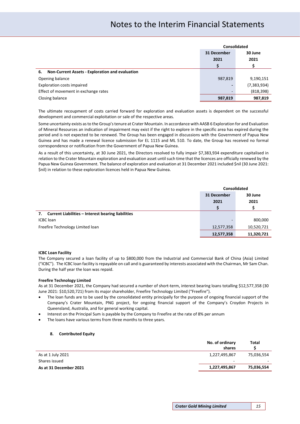# Notes to the Interim Financial Statements

|                                                       | <b>Consolidated</b> |               |
|-------------------------------------------------------|---------------------|---------------|
|                                                       | 31 December         | 30 June       |
|                                                       | 2021                | 2021          |
|                                                       |                     |               |
| Non-Current Assets - Exploration and evaluation<br>6. |                     |               |
| Opening balance                                       | 987,819             | 9,190,151     |
| <b>Exploration costs impaired</b>                     | -                   | (7, 383, 934) |
| Effect of movement in exchange rates                  | -                   | (818, 398)    |
| Closing balance                                       | 987,819             | 987,819       |

The ultimate recoupment of costs carried forward for exploration and evaluation assets is dependent on the successful development and commercial exploitation or sale of the respective areas.

Some uncertainty exists as to the Group's tenure at Crater Mountain. In accordance with AASB 6 Exploration for and Evaluation of Mineral Resources an indication of impairment may exist if the right to explore in the specific area has expired during the period and is not expected to be renewed. The Group has been engaged in discussions with the Government of Papua New Guinea and has made a renewal licence submission for EL 1115 and ML 510. To date, the Group has received no formal correspondence or notification from the Government of Papua New Guinea.

As a result of this uncertainty, at 30 June 2021, the Directors resolved to fully impair \$7,383,934 expenditure capitalised in relation to the Crater Mountain exploration and evaluation asset until such time that the licences are officially renewed by the Papua New Guinea Government. The balance of exploration and evaluation at 31 December 2021 included \$nil (30 June 2021: \$nil) in relation to these exploration licences held in Papua New Guinea.

|                                                                 | Consolidated             |            |
|-----------------------------------------------------------------|--------------------------|------------|
|                                                                 | 31 December              | 30 June    |
|                                                                 | 2021                     | 2021       |
|                                                                 |                          |            |
| <b>Current Liabilities - Interest bearing liabilities</b><br>7. |                          |            |
| <b>ICBC</b> loan                                                | $\overline{\phantom{0}}$ | 800,000    |
| Freefire Technology Limited loan                                | 12,577,358               | 10,520,721 |
|                                                                 | 12,577,358               | 11,320,721 |

#### **ICBC Loan Facility**

The Company secured a loan facility of up to \$800,000 from the Industrial and Commercial Bank of China (Asia) Limited ("ICBC"). The ICBC loan facility is repayable on call and is guaranteed by interests associated with the Chairman, Mr Sam Chan. During the half year the loan was repaid.

#### **Freefire Technology Limited**

As at 31 December 2021, the Company had secured a number of short-term, interest bearing loans totalling \$12,577,358 (30 June 2021: \$10,520,721) from its major shareholder, Freefire Technology Limited ("Freefire").

- The loan funds are to be used by the consolidated entity principally for the purpose of ongoing financial support of the Company's Crater Mountain, PNG project, for ongoing financial support of the Company's Croydon Projects in Queensland, Australia, and for general working capital.
- Interest on the Principal Sum is payable by the Company to Freefire at the rate of 8% per annum
- The loans have various terms from three months to three years.

#### **8. Contributed Equity**

|                        | No. of ordinary<br>shares | Total      |
|------------------------|---------------------------|------------|
| As at 1 July 2021      | 1,227,495,867             | 75,036,554 |
| Shares issued          | -                         |            |
| As at 31 December 2021 | 1,227,495,867             | 75,036,554 |
|                        |                           |            |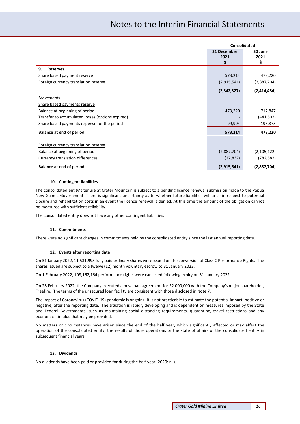# Notes to the Interim Financial Statements

|                                                  | <b>Consolidated</b>       |                       |
|--------------------------------------------------|---------------------------|-----------------------|
|                                                  | 31 December<br>2021<br>\$ | 30 June<br>2021<br>\$ |
| 9.<br><b>Reserves</b>                            |                           |                       |
| Share based payment reserve                      | 573,214                   | 473,220               |
| Foreign currency translation reserve             | (2,915,541)               | (2,887,704)           |
|                                                  | (2,342,327)               | (2,414,484)           |
| <b>Movements</b>                                 |                           |                       |
| Share based payments reserve                     |                           |                       |
| Balance at beginning of period                   | 473,220                   | 717,847               |
| Transfer to accumulated losses (options expired) |                           | (441,502)             |
| Share based payments expense for the period      | 99,994                    | 196,875               |
| <b>Balance at end of period</b>                  | 573,214                   | 473,220               |
|                                                  |                           |                       |
| Foreign currency translation reserve             |                           |                       |
| Balance at beginning of period                   | (2,887,704)               | (2, 105, 122)         |
| Currency translation differences                 | (27, 837)                 | (782,582)             |
| <b>Balance at end of period</b>                  | (2,915,541)               | (2,887,704)           |

#### **10. Contingent liabilities**

The consolidated entity's tenure at Crater Mountain is subject to a pending licence renewal submission made to the Papua New Guinea Government. There is significant uncertainty as to whether future liabilities will arise in respect to potential closure and rehabilitation costs in an event the licence renewal is denied. At this time the amount of the obligation cannot be measured with sufficient reliability.

The consolidated entity does not have any other contingent liabilities.

#### **11. Commitments**

There were no significant changes in commitments held by the consolidated entity since the last annual reporting date.

#### **12. Events after reporting date**

On 31 January 2022, 11,531,995 fully paid ordinary shares were issued on the conversion of Class C Performance Rights. The shares issued are subject to a twelve (12) month voluntary escrow to 31 January 2023.

On 1 February 2022, 108,162,164 performance rights were cancelled following expiry on 31 January 2022.

On 28 February 2022, the Company executed a new loan agreement for \$2,000,000 with the Company's major shareholder, Freefire. The terms of the unsecured loan facility are consistent with those disclosed in Note 7.

The impact of Coronavirus (COVID-19) pandemic is ongoing. It is not practicable to estimate the potential impact, positive or negative, after the reporting date. The situation is rapidly developing and is dependent on measures imposed by the State and Federal Governments, such as maintaining social distancing requirements, quarantine, travel restrictions and any economic stimulus that may be provided.

No matters or circumstances have arisen since the end of the half year, which significantly affected or may affect the operation of the consolidated entity, the results of those operations or the state of affairs of the consolidated entity in subsequent financial years.

#### **13. Dividends**

No dividends have been paid or provided for during the half-year (2020: nil).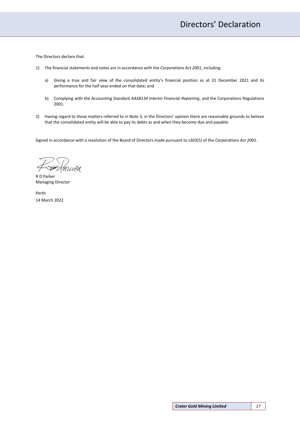<span id="page-16-0"></span>The Directors declare that:

- 1) The financial statements and notes are in accordance with the *Corporations Act 2001*, including:
	- a) Giving a true and fair view of the consolidated entity's financial position as at 31 December 2021 and its performance for the half year ended on that date; and
	- b) Complying with the Accounting Standard *AASB134 Interim Financial Reporting*, and the Corporations Regulations 2001.
- 2) Having regard to those matters referred to in Note 3, in the Directors' opinion there are reasonable grounds to believe that the consolidated entity will be able to pay its debts as and when they become due and payable.

Signed in accordance with a resolution of the Board of Directors made pursuant to s303(5) of the *Corporations Act 2001*.

GOVIAN

R D Parker Managing Director

Perth 14 March 2022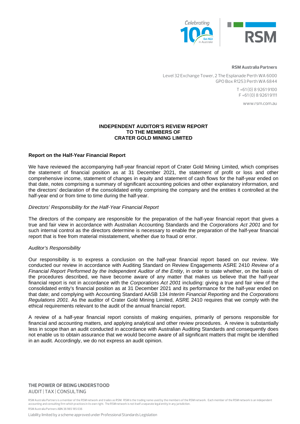

#### **RSM Australia Partners**

Level 32 Exchange Tower, 2 The Esplanade Perth WA 6000 GPO Box R1253 Perth WA 6844

> T +61 (0) 8 9261 9100 F +61 (0) 8 9261 9111

> > www.rsm.com.au

# **INDEPENDENT AUDITOR'S REVIEW REPORT TO THE MEMBERS OF CRATER GOLD MINING LIMITED**

# **Report on the Half-Year Financial Report**

We have reviewed the accompanying half-year financial report of Crater Gold Mining Limited, which comprises the statement of financial position as at 31 December 2021, the statement of profit or loss and other comprehensive income, statement of changes in equity and statement of cash flows for the half-year ended on that date, notes comprising a summary of significant accounting policies and other explanatory information, and the directors' declaration of the consolidated entity comprising the company and the entities it controlled at the half-year end or from time to time during the half-year.

## *Directors' Responsibility for the Half-Year Financial Report*

The directors of the company are responsible for the preparation of the half-year financial report that gives a true and fair view in accordance with Australian Accounting Standards and the *Corporations Act 2001* and for such internal control as the directors determine is necessary to enable the preparation of the half-year financial report that is free from material misstatement, whether due to fraud or error.

## *Auditor's Responsibility*

Our responsibility is to express a conclusion on the half-year financial report based on our review. We conducted our review in accordance with Auditing Standard on Review Engagements ASRE 2410 *Review of a Financial Report Performed by the Independent Auditor of the Entity*, in order to state whether, on the basis of the procedures described, we have become aware of any matter that makes us believe that the half-year financial report is not in accordance with the *Corporations Act 2001* including: giving a true and fair view of the consolidated entity's financial position as at 31 December 2021 and its performance for the half-year ended on that date; and complying with Accounting Standard AASB 134 *Interim Financial Reporting* and the *Corporations Regulations 2001*. As the auditor of Crater Gold Mining Limited, ASRE 2410 requires that we comply with the ethical requirements relevant to the audit of the annual financial report.

A review of a half-year financial report consists of making enquiries, primarily of persons responsible for financial and accounting matters, and applying analytical and other review procedures. A review is substantially less in scope than an audit conducted in accordance with Australian Auditing Standards and consequently does not enable us to obtain assurance that we would become aware of all significant matters that might be identified in an audit. Accordingly, we do not express an audit opinion.

# **THE POWER OF BEING UNDERSTOOD** AUDIT | TAX | CONSULTING

RSM Australia Partners is a member of the RSM network and trades as RSM. RSM is the trading name used by the members of the RSM network. Each member of the RSM network is an independent accounting and consulting firm which practices in its own right. The RSM network is not itself a separate legal entity in any jurisdiction. RSM Australia Partners ABN 36 965 185 036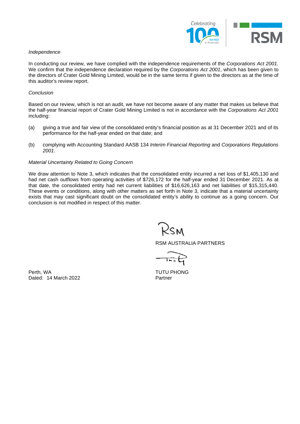

### *Independence*

In conducting our review, we have complied with the independence requirements of the *Corporations Act 2001*. We confirm that the independence declaration required by the *Corporations Act 2001*, which has been given to the directors of Crater Gold Mining Limited, would be in the same terms if given to the directors as at the time of this auditor's review report.

### *Conclusion*

Based on our review, which is not an audit, we have not become aware of any matter that makes us believe that the half-year financial report of Crater Gold Mining Limited is not in accordance with the *Corporations Act 2001*  including:

- (a) giving a true and fair view of the consolidated entity's financial position as at 31 December 2021 and of its performance for the half-year ended on that date; and
- (b) complying with Accounting Standard AASB 134 *Interim Financial Reporting* and *Corporations Regulations 2001*.

### *Material Uncertainty Related to Going Concern*

We draw attention to Note 3, which indicates that the consolidated entity incurred a net loss of \$1,405,130 and had net cash outflows from operating activities of \$726,172 for the half-year ended 31 December 2021. As at that date, the consolidated entity had net current liabilities of \$16,626,163 and net liabilities of \$15,315,440. These events or conditions, along with other matters as set forth in Note 3, indicate that a material uncertainty exists that may cast significant doubt on the consolidated entity's ability to continue as a going concern. Our conclusion is not modified in respect of this matter.

2sm

RSM AUSTRALIA PARTNERS

Perth, WA TUTU PHONG Dated: 14 March 2022 Partner